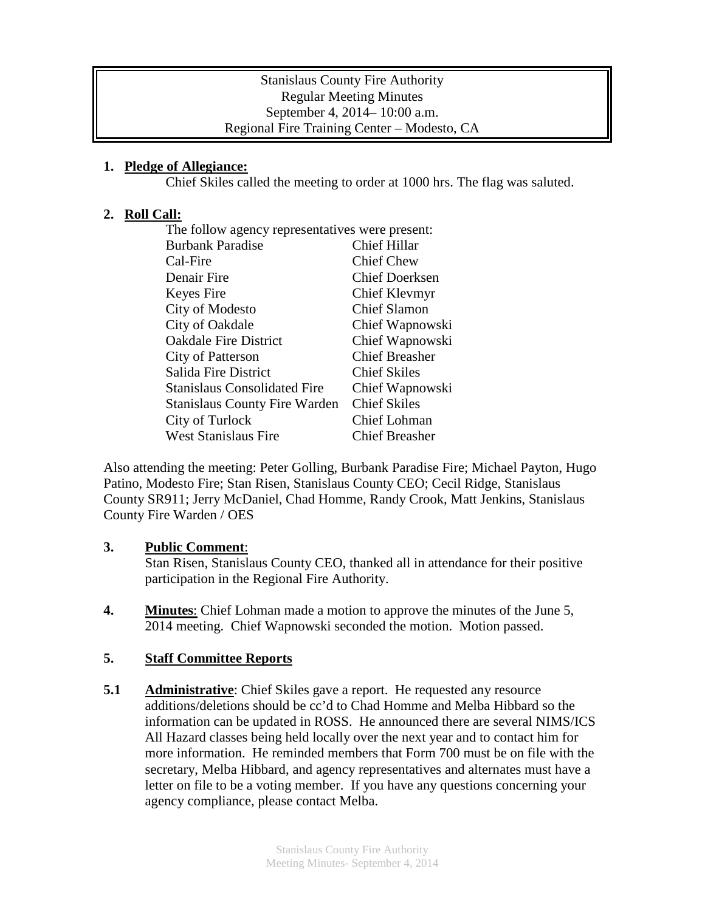### Stanislaus County Fire Authority Regular Meeting Minutes September 4, 2014– 10:00 a.m. Regional Fire Training Center – Modesto, CA

## **1. Pledge of Allegiance:**

Chief Skiles called the meeting to order at 1000 hrs. The flag was saluted.

## **2. Roll Call:**

| The follow agency representatives were present: |                       |
|-------------------------------------------------|-----------------------|
| <b>Burbank Paradise</b>                         | <b>Chief Hillar</b>   |
| Cal-Fire                                        | <b>Chief Chew</b>     |
| Denair Fire                                     | <b>Chief Doerksen</b> |
| Keyes Fire                                      | <b>Chief Klevmyr</b>  |
| City of Modesto                                 | <b>Chief Slamon</b>   |
| City of Oakdale                                 | Chief Wapnowski       |
| <b>Oakdale Fire District</b>                    | Chief Wapnowski       |
| City of Patterson                               | <b>Chief Breasher</b> |
| Salida Fire District                            | <b>Chief Skiles</b>   |
| <b>Stanislaus Consolidated Fire</b>             | Chief Wapnowski       |
| <b>Stanislaus County Fire Warden</b>            | <b>Chief Skiles</b>   |
| City of Turlock                                 | Chief Lohman          |
| <b>West Stanislaus Fire</b>                     | <b>Chief Breasher</b> |

Also attending the meeting: Peter Golling, Burbank Paradise Fire; Michael Payton, Hugo Patino, Modesto Fire; Stan Risen, Stanislaus County CEO; Cecil Ridge, Stanislaus County SR911; Jerry McDaniel, Chad Homme, Randy Crook, Matt Jenkins, Stanislaus County Fire Warden / OES

### **3. Public Comment**:

Stan Risen, Stanislaus County CEO, thanked all in attendance for their positive participation in the Regional Fire Authority.

**4. Minutes**: Chief Lohman made a motion to approve the minutes of the June 5, 2014 meeting. Chief Wapnowski seconded the motion. Motion passed.

### **5. Staff Committee Reports**

**5.1 Administrative**: Chief Skiles gave a report. He requested any resource additions/deletions should be cc'd to Chad Homme and Melba Hibbard so the information can be updated in ROSS. He announced there are several NIMS/ICS All Hazard classes being held locally over the next year and to contact him for more information. He reminded members that Form 700 must be on file with the secretary, Melba Hibbard, and agency representatives and alternates must have a letter on file to be a voting member. If you have any questions concerning your agency compliance, please contact Melba.